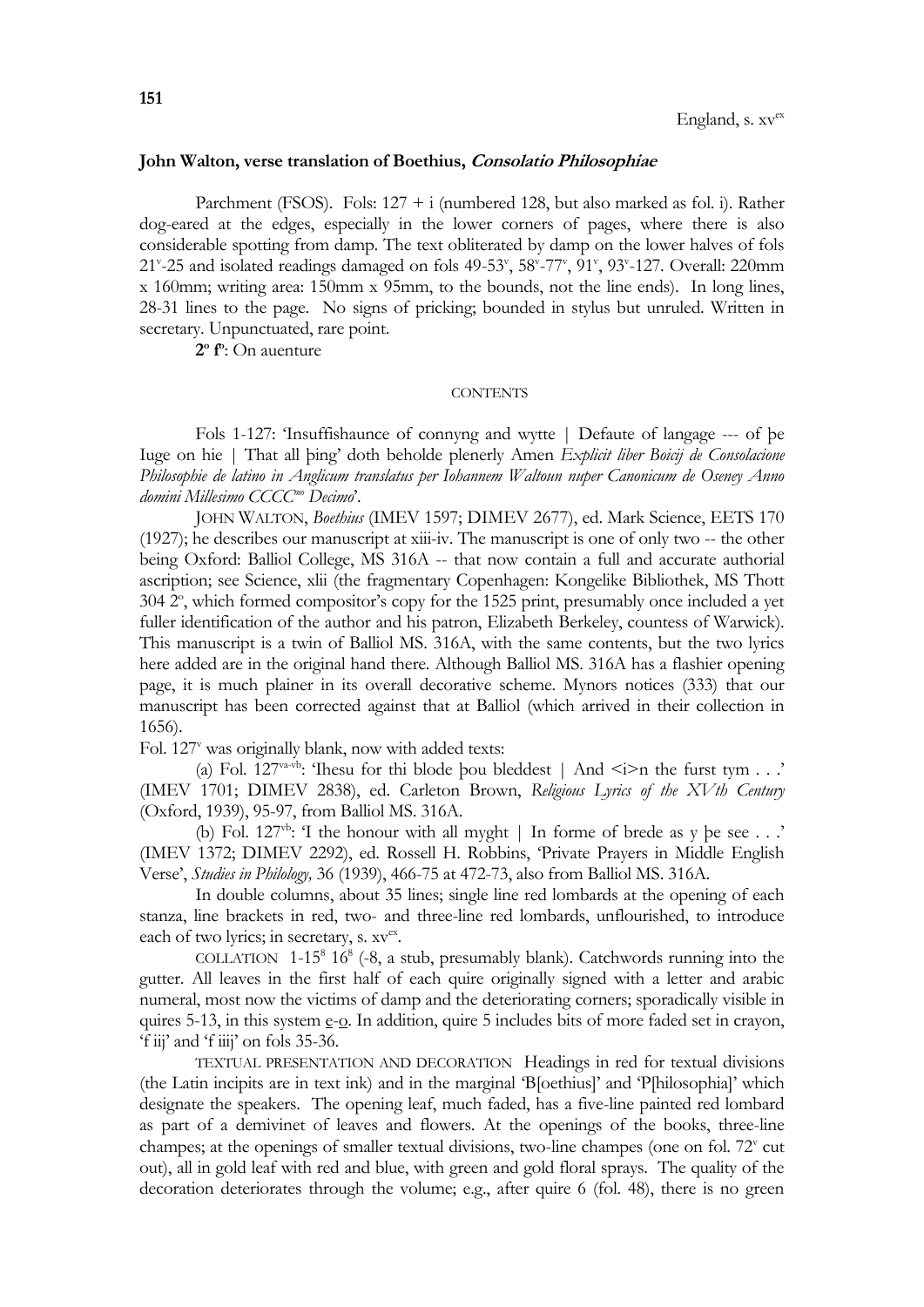## **John Walton, verse translation of Boethius, Consolatio Philosophiae**

Parchment (FSOS). Fols:  $127 + i$  (numbered 128, but also marked as fol. i). Rather dog-eared at the edges, especially in the lower corners of pages, where there is also considerable spotting from damp. The text obliterated by damp on the lower halves of fols 21<sup>v</sup>-25 and isolated readings damaged on fols 49-53<sup>v</sup>, 58<sup>v</sup>-77<sup>v</sup>, 91<sup>v</sup>, 93<sup>v</sup>-127. Overall: 220mm x 160mm; writing area: 150mm x 95mm, to the bounds, not the line ends). In long lines, 28-31 lines to the page. No signs of pricking; bounded in stylus but unruled. Written in secretary. Unpunctuated, rare point.

**2 o f o** : On auenture

## **CONTENTS**

Fols 1-127: 'Insuffishaunce of connyng and wytte | Defaute of langage --- of þe Iuge on hie | That all þing' doth beholde plenerly Amen *Explicit liber Boicij de Consolacione Philosophie de latino in Anglicum translatus per Iohannem Waltoun nuper Canonicum de Oseney Anno domini Millesimo CCCCmo Decimo*'.

JOHN WALTON, *Boethius* (IMEV 1597; DIMEV 2677), ed. Mark Science, EETS 170 (1927); he describes our manuscript at xiii-iv. The manuscript is one of only two -- the other being Oxford: Balliol College, MS 316A -- that now contain a full and accurate authorial ascription; see Science, xlii (the fragmentary Copenhagen: Kongelike Bibliothek, MS Thott 304 2°, which formed compositor's copy for the 1525 print, presumably once included a yet fuller identification of the author and his patron, Elizabeth Berkeley, countess of Warwick). This manuscript is a twin of Balliol MS. 316A, with the same contents, but the two lyrics here added are in the original hand there. Although Balliol MS. 316A has a flashier opening page, it is much plainer in its overall decorative scheme. Mynors notices (333) that our manuscript has been corrected against that at Balliol (which arrived in their collection in 1656).

Fol.  $127^v$  was originally blank, now with added texts:

(a) Fol. 127<sup>va-vb</sup>: Thesu for thi blode bou bleddest | And  $\le i$ >n the furst tym . . .' (IMEV 1701; DIMEV 2838), ed. Carleton Brown, *Religious Lyrics of the XVth Century* (Oxford, 1939), 95-97, from Balliol MS. 316A.

(b) Fol.  $127<sup>vb</sup>$ : 'I the honour with all myght | In forme of brede as y be see . . .' (IMEV 1372; DIMEV 2292), ed. Rossell H. Robbins, 'Private Prayers in Middle English Verse', *Studies in Philology,* 36 (1939), 466-75 at 472-73, also from Balliol MS. 316A.

In double columns, about 35 lines; single line red lombards at the opening of each stanza, line brackets in red, two- and three-line red lombards, unflourished, to introduce each of two lyrics; in secretary, s.  $xv^{ex}$ .

COLLATION  $1-15^8$  16<sup>8</sup> (-8, a stub, presumably blank). Catchwords running into the gutter. All leaves in the first half of each quire originally signed with a letter and arabic numeral, most now the victims of damp and the deteriorating corners; sporadically visible in quires 5-13, in this system e-o. In addition, quire 5 includes bits of more faded set in crayon, 'f iij' and 'f iiij' on fols 35-36.

TEXTUAL PRESENTATION AND DECORATION Headings in red for textual divisions (the Latin incipits are in text ink) and in the marginal 'B[oethius]' and 'P[hilosophia]' which designate the speakers. The opening leaf, much faded, has a five-line painted red lombard as part of a demivinet of leaves and flowers. At the openings of the books, three-line champes; at the openings of smaller textual divisions, two-line champes (one on fol. 72° cut out), all in gold leaf with red and blue, with green and gold floral sprays. The quality of the decoration deteriorates through the volume; e.g., after quire 6 (fol. 48), there is no green